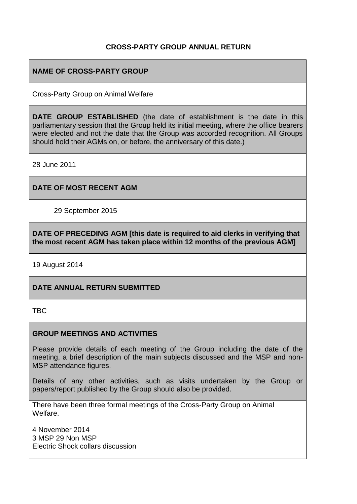## **CROSS-PARTY GROUP ANNUAL RETURN**

## **NAME OF CROSS-PARTY GROUP**

Cross-Party Group on Animal Welfare

**DATE GROUP ESTABLISHED** (the date of establishment is the date in this parliamentary session that the Group held its initial meeting, where the office bearers were elected and not the date that the Group was accorded recognition. All Groups should hold their AGMs on, or before, the anniversary of this date.)

28 June 2011

### **DATE OF MOST RECENT AGM**

29 September 2015

**DATE OF PRECEDING AGM [this date is required to aid clerks in verifying that the most recent AGM has taken place within 12 months of the previous AGM]**

19 August 2014

### **DATE ANNUAL RETURN SUBMITTED**

TBC

### **GROUP MEETINGS AND ACTIVITIES**

Please provide details of each meeting of the Group including the date of the meeting, a brief description of the main subjects discussed and the MSP and non-MSP attendance figures.

Details of any other activities, such as visits undertaken by the Group or papers/report published by the Group should also be provided.

There have been three formal meetings of the Cross-Party Group on Animal Welfare.

4 November 2014 3 MSP 29 Non MSP Electric Shock collars discussion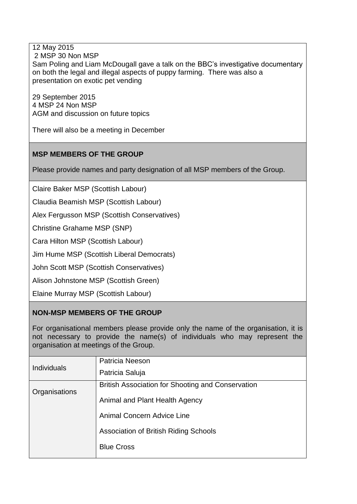12 May 2015 2 MSP 30 Non MSP Sam Poling and Liam McDougall gave a talk on the BBC's investigative documentary on both the legal and illegal aspects of puppy farming. There was also a presentation on exotic pet vending

29 September 2015 4 MSP 24 Non MSP AGM and discussion on future topics

There will also be a meeting in December

# **MSP MEMBERS OF THE GROUP**

Please provide names and party designation of all MSP members of the Group.

Claire Baker MSP (Scottish Labour)

Claudia Beamish MSP (Scottish Labour)

Alex Fergusson MSP (Scottish Conservatives)

Christine Grahame MSP (SNP)

Cara Hilton MSP (Scottish Labour)

Jim Hume MSP (Scottish Liberal Democrats)

John Scott MSP (Scottish Conservatives)

Alison Johnstone MSP (Scottish Green)

Elaine Murray MSP (Scottish Labour)

# **NON-MSP MEMBERS OF THE GROUP**

For organisational members please provide only the name of the organisation, it is not necessary to provide the name(s) of individuals who may represent the organisation at meetings of the Group.

| <b>Individuals</b> | Patricia Neeson                                          |
|--------------------|----------------------------------------------------------|
|                    | Patricia Saluja                                          |
| Organisations      | <b>British Association for Shooting and Conservation</b> |
|                    | Animal and Plant Health Agency                           |
|                    | Animal Concern Advice Line                               |
|                    | Association of British Riding Schools                    |
|                    | <b>Blue Cross</b>                                        |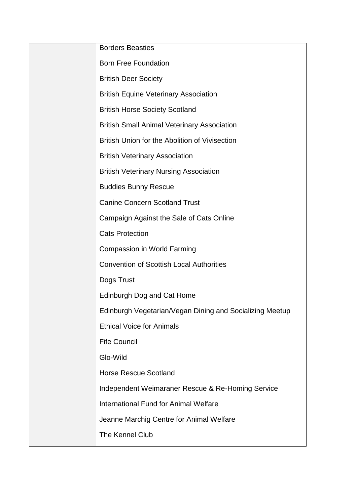| <b>Borders Beasties</b>                                  |
|----------------------------------------------------------|
| <b>Born Free Foundation</b>                              |
| <b>British Deer Society</b>                              |
| <b>British Equine Veterinary Association</b>             |
| <b>British Horse Society Scotland</b>                    |
| <b>British Small Animal Veterinary Association</b>       |
| British Union for the Abolition of Vivisection           |
| <b>British Veterinary Association</b>                    |
| <b>British Veterinary Nursing Association</b>            |
| <b>Buddies Bunny Rescue</b>                              |
| <b>Canine Concern Scotland Trust</b>                     |
| Campaign Against the Sale of Cats Online                 |
| <b>Cats Protection</b>                                   |
| <b>Compassion in World Farming</b>                       |
| <b>Convention of Scottish Local Authorities</b>          |
| Dogs Trust                                               |
| Edinburgh Dog and Cat Home                               |
| Edinburgh Vegetarian/Vegan Dining and Socializing Meetup |
| <b>Ethical Voice for Animals</b>                         |
| <b>Fife Council</b>                                      |
| Glo-Wild                                                 |
| <b>Horse Rescue Scotland</b>                             |
| Independent Weimaraner Rescue & Re-Homing Service        |
| International Fund for Animal Welfare                    |
| Jeanne Marchig Centre for Animal Welfare                 |
| The Kennel Club                                          |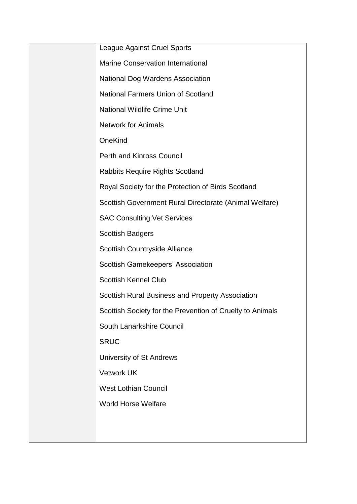| <b>League Against Cruel Sports</b>                        |
|-----------------------------------------------------------|
| <b>Marine Conservation International</b>                  |
| <b>National Dog Wardens Association</b>                   |
| <b>National Farmers Union of Scotland</b>                 |
| <b>National Wildlife Crime Unit</b>                       |
| <b>Network for Animals</b>                                |
| OneKind                                                   |
| <b>Perth and Kinross Council</b>                          |
| <b>Rabbits Require Rights Scotland</b>                    |
| Royal Society for the Protection of Birds Scotland        |
| Scottish Government Rural Directorate (Animal Welfare)    |
| <b>SAC Consulting: Vet Services</b>                       |
| <b>Scottish Badgers</b>                                   |
| Scottish Countryside Alliance                             |
| Scottish Gamekeepers' Association                         |
| <b>Scottish Kennel Club</b>                               |
| <b>Scottish Rural Business and Property Association</b>   |
| Scottish Society for the Prevention of Cruelty to Animals |
| South Lanarkshire Council                                 |
| <b>SRUC</b>                                               |
| University of St Andrews                                  |
| <b>Vetwork UK</b>                                         |
| <b>West Lothian Council</b>                               |
| <b>World Horse Welfare</b>                                |
|                                                           |
|                                                           |
|                                                           |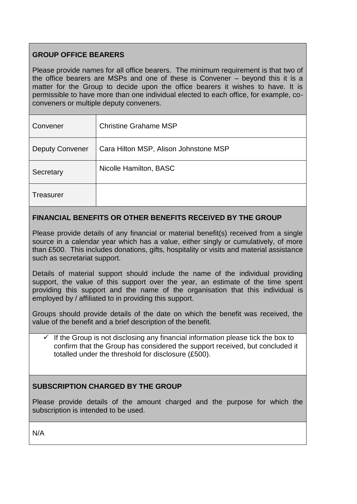# **GROUP OFFICE BEARERS**

Please provide names for all office bearers. The minimum requirement is that two of the office bearers are MSPs and one of these is Convener – beyond this it is a matter for the Group to decide upon the office bearers it wishes to have. It is permissible to have more than one individual elected to each office, for example, coconveners or multiple deputy conveners.

| Convener               | <b>Christine Grahame MSP</b>          |
|------------------------|---------------------------------------|
| <b>Deputy Convener</b> | Cara Hilton MSP, Alison Johnstone MSP |
| Secretary              | Nicolle Hamilton, BASC                |
| Treasurer              |                                       |

# **FINANCIAL BENEFITS OR OTHER BENEFITS RECEIVED BY THE GROUP**

Please provide details of any financial or material benefit(s) received from a single source in a calendar year which has a value, either singly or cumulatively, of more than £500. This includes donations, gifts, hospitality or visits and material assistance such as secretariat support.

Details of material support should include the name of the individual providing support, the value of this support over the year, an estimate of the time spent providing this support and the name of the organisation that this individual is employed by / affiliated to in providing this support.

Groups should provide details of the date on which the benefit was received, the value of the benefit and a brief description of the benefit.

 $\checkmark$  If the Group is not disclosing any financial information please tick the box to confirm that the Group has considered the support received, but concluded it totalled under the threshold for disclosure (£500).

# **SUBSCRIPTION CHARGED BY THE GROUP**

Please provide details of the amount charged and the purpose for which the subscription is intended to be used.

N/A